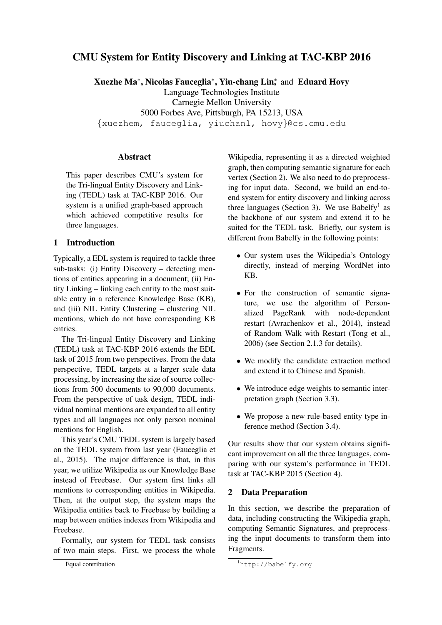# CMU System for Entity Discovery and Linking at TAC-KBP 2016

Xuezhe Ma<sup>∗</sup> , Nicolas Fauceglia<sup>∗</sup> , Yiu-chang Lin<sup>∗</sup> , and Eduard Hovy Language Technologies Institute Carnegie Mellon University 5000 Forbes Ave, Pittsburgh, PA 15213, USA {xuezhem, fauceglia, yiuchanl, hovy}@cs.cmu.edu

#### **Abstract**

This paper describes CMU's system for the Tri-lingual Entity Discovery and Linking (TEDL) task at TAC-KBP 2016. Our system is a unified graph-based approach which achieved competitive results for three languages.

# 1 Introduction

Typically, a EDL system is required to tackle three sub-tasks: (i) Entity Discovery – detecting mentions of entities appearing in a document; (ii) Entity Linking – linking each entity to the most suitable entry in a reference Knowledge Base (KB), and (iii) NIL Entity Clustering – clustering NIL mentions, which do not have corresponding KB entries.

The Tri-lingual Entity Discovery and Linking (TEDL) task at TAC-KBP 2016 extends the EDL task of 2015 from two perspectives. From the data perspective, TEDL targets at a larger scale data processing, by increasing the size of source collections from 500 documents to 90,000 documents. From the perspective of task design, TEDL individual nominal mentions are expanded to all entity types and all languages not only person nominal mentions for English.

This year's CMU TEDL system is largely based on the TEDL system from last year (Fauceglia et al., 2015). The major difference is that, in this year, we utilize Wikipedia as our Knowledge Base instead of Freebase. Our system first links all mentions to corresponding entities in Wikipedia. Then, at the output step, the system maps the Wikipedia entities back to Freebase by building a map between entities indexes from Wikipedia and Freebase.

Formally, our system for TEDL task consists of two main steps. First, we process the whole

Wikipedia, representing it as a directed weighted graph, then computing semantic signature for each vertex (Section 2). We also need to do preprocessing for input data. Second, we build an end-toend system for entity discovery and linking across three languages (Section 3). We use Babelfy<sup>1</sup> as the backbone of our system and extend it to be suited for the TEDL task. Briefly, our system is different from Babelfy in the following points:

- Our system uses the Wikipedia's Ontology directly, instead of merging WordNet into KB.
- For the construction of semantic signature, we use the algorithm of Personalized PageRank with node-dependent restart (Avrachenkov et al., 2014), instead of Random Walk with Restart (Tong et al., 2006) (see Section 2.1.3 for details).
- We modify the candidate extraction method and extend it to Chinese and Spanish.
- We introduce edge weights to semantic interpretation graph (Section 3.3).
- We propose a new rule-based entity type inference method (Section 3.4).

Our results show that our system obtains significant improvement on all the three languages, comparing with our system's performance in TEDL task at TAC-KBP 2015 (Section 4).

## 2 Data Preparation

In this section, we describe the preparation of data, including constructing the Wikipedia graph, computing Semantic Signatures, and preprocessing the input documents to transform them into Fragments.

Equal contribution

<sup>1</sup>http://babelfy.org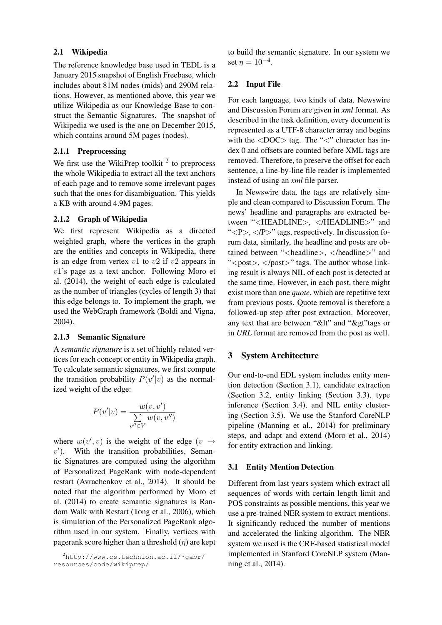#### 2.1 Wikipedia

The reference knowledge base used in TEDL is a January 2015 snapshot of English Freebase, which includes about 81M nodes (mids) and 290M relations. However, as mentioned above, this year we utilize Wikipedia as our Knowledge Base to construct the Semantic Signatures. The snapshot of Wikipedia we used is the one on December 2015, which contains around 5M pages (nodes).

## 2.1.1 Preprocessing

We first use the WikiPrep toolkit  $2$  to preprocess the whole Wikipedia to extract all the text anchors of each page and to remove some irrelevant pages such that the ones for disambiguation. This yields a KB with around 4.9M pages.

# 2.1.2 Graph of Wikipedia

We first represent Wikipedia as a directed weighted graph, where the vertices in the graph are the entities and concepts in Wikipedia, there is an edge from vertex  $v1$  to  $v2$  if  $v2$  appears in v1's page as a text anchor. Following Moro et al. (2014), the weight of each edge is calculated as the number of triangles (cycles of length 3) that this edge belongs to. To implement the graph, we used the WebGraph framework (Boldi and Vigna, 2004).

# 2.1.3 Semantic Signature

A *semantic signature* is a set of highly related vertices for each concept or entity in Wikipedia graph. To calculate semantic signatures, we first compute the transition probability  $P(v'|v)$  as the normalized weight of the edge:

$$
P(v'|v) = \frac{w(v, v')}{\sum_{v'' \in V} w(v, v'')}
$$

where  $w(v', v)$  is the weight of the edge  $(v \rightarrow$  $v'$ ). With the transition probabilities, Semantic Signatures are computed using the algorithm of Personalized PageRank with node-dependent restart (Avrachenkov et al., 2014). It should be noted that the algorithm performed by Moro et al. (2014) to create semantic signatures is Random Walk with Restart (Tong et al., 2006), which is simulation of the Personalized PageRank algorithm used in our system. Finally, vertices with pagerank score higher than a threshold  $(\eta)$  are kept to build the semantic signature. In our system we set  $\eta = 10^{-4}$ .

# 2.2 Input File

For each language, two kinds of data, Newswire and Discussion Forum are given in *xml* format. As described in the task definition, every document is represented as a UTF-8 character array and begins with the  $\langle$ DOC $>$  tag. The " $\langle$ " character has index 0 and offsets are counted before XML tags are removed. Therefore, to preserve the offset for each sentence, a line-by-line file reader is implemented instead of using an *xml* file parser.

In Newswire data, the tags are relatively simple and clean compared to Discussion Forum. The news' headline and paragraphs are extracted between "<HEADLINE>, </HEADLINE>" and " $\langle P \rangle$ ,  $\langle P \rangle$ " tags, respectively. In discussion forum data, similarly, the headline and posts are obtained between "<headline>, <headline>" and "<post>, </post>" tags. The author whose linking result is always NIL of each post is detected at the same time. However, in each post, there might exist more than one *quote*, which are repetitive text from previous posts. Quote removal is therefore a followed-up step after post extraction. Moreover, any text that are between "&It" and "&gt" tags or in *URL* format are removed from the post as well.

# 3 System Architecture

Our end-to-end EDL system includes entity mention detection (Section 3.1), candidate extraction (Section 3.2, entity linking (Section 3.3), type inference (Section 3.4), and NIL entity clustering (Section 3.5). We use the Stanford CoreNLP pipeline (Manning et al., 2014) for preliminary steps, and adapt and extend (Moro et al., 2014) for entity extraction and linking.

# 3.1 Entity Mention Detection

Different from last years system which extract all sequences of words with certain length limit and POS constraints as possible mentions, this year we use a pre-trained NER system to extract mentions. It significantly reduced the number of mentions and accelerated the linking algorithm. The NER system we used is the CRF-based statistical model implemented in Stanford CoreNLP system (Manning et al., 2014).

 $^{2}$ http://www.cs.technion.ac.il/~qabr/ resources/code/wikiprep/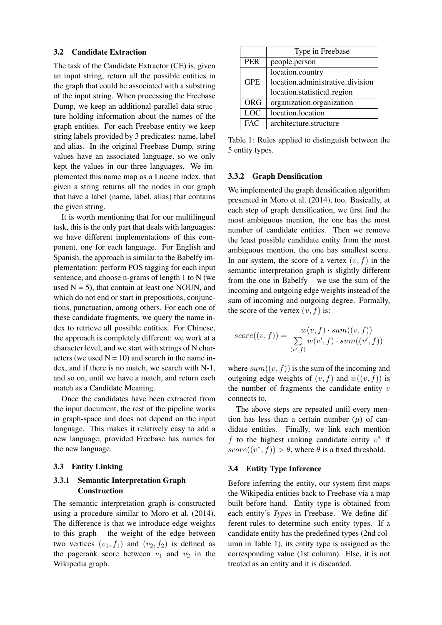#### 3.2 Candidate Extraction

The task of the Candidate Extractor (CE) is, given an input string, return all the possible entities in the graph that could be associated with a substring of the input string. When processing the Freebase Dump, we keep an additional parallel data structure holding information about the names of the graph entities. For each Freebase entity we keep string labels provided by 3 predicates: name, label and alias. In the original Freebase Dump, string values have an associated language, so we only kept the values in our three languages. We implemented this name map as a Lucene index, that given a string returns all the nodes in our graph that have a label (name, label, alias) that contains the given string.

It is worth mentioning that for our multilingual task, this is the only part that deals with languages: we have different implementations of this component, one for each language. For English and Spanish, the approach is similar to the Babelfy implementation: perform POS tagging for each input sentence, and choose n-grams of length 1 to N (we used  $N = 5$ ), that contain at least one NOUN, and which do not end or start in prepositions, conjunctions, punctuation, among others. For each one of these candidate fragments, we query the name index to retrieve all possible entities. For Chinese, the approach is completely different: we work at a character level, and we start with strings of N characters (we used  $N = 10$ ) and search in the name index, and if there is no match, we search with N-1, and so on, until we have a match, and return each match as a Candidate Meaning.

Once the candidates have been extracted from the input document, the rest of the pipeline works in graph-space and does not depend on the input language. This makes it relatively easy to add a new language, provided Freebase has names for the new language.

#### 3.3 Entity Linking

## 3.3.1 Semantic Interpretation Graph Construction

The semantic interpretation graph is constructed using a procedure similar to Moro et al. (2014). The difference is that we introduce edge weights to this graph – the weight of the edge between two vertices  $(v_1, f_1)$  and  $(v_2, f_2)$  is defined as the pagerank score between  $v_1$  and  $v_2$  in the Wikipedia graph.

|            | Type in Freebase                 |  |  |  |
|------------|----------------------------------|--|--|--|
| <b>PER</b> | people.person                    |  |  |  |
|            | location.country                 |  |  |  |
| <b>GPE</b> | location.administrative_division |  |  |  |
|            | location.statistical_region      |  |  |  |
| <b>ORG</b> | organization.organization        |  |  |  |
| <b>LOC</b> | location.location                |  |  |  |
| <b>FAC</b> | architecture.structure           |  |  |  |

Table 1: Rules applied to distinguish between the 5 entity types.

#### 3.3.2 Graph Densification

We implemented the graph densification algorithm presented in Moro et al. (2014), too. Basically, at each step of graph densification, we first find the most ambiguous mention, the one has the most number of candidate entities. Then we remove the least possible candidate entity from the most ambiguous mention, the one has smallest score. In our system, the score of a vertex  $(v, f)$  in the semantic interpretation graph is slightly different from the one in Babelfy – we use the sum of the incoming and outgoing edge weights instead of the sum of incoming and outgoing degree. Formally, the score of the vertex  $(v, f)$  is:

$$
score((v, f)) = \frac{w(v, f) \cdot sum((v, f))}{\sum_{(v', f)} w(v', f) \cdot sum((v', f))}
$$

where  $sum((v, f))$  is the sum of the incoming and outgoing edge weights of  $(v, f)$  and  $w((v, f))$  is the number of fragments the candidate entity  $v$ connects to.

The above steps are repeated until every mention has less than a certain number  $(\mu)$  of candidate entities. Finally, we link each mention f to the highest ranking candidate entity  $v^*$  if  $score((v^*, f)) > \theta$ , where  $\theta$  is a fixed threshold.

#### 3.4 Entity Type Inference

Before inferring the entity, our system first maps the Wikipedia entities back to Freebase via a map built before hand. Entity type is obtained from each entity's *Types* in Freebase. We define different rules to determine such entity types. If a candidate entity has the predefined types (2nd column in Table 1), its entity type is assigned as the corresponding value (1st column). Else, it is not treated as an entity and it is discarded.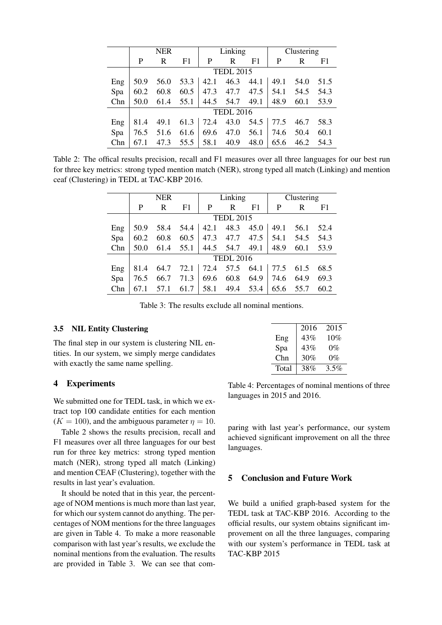|     | <b>NER</b>       |      |      | Linking |      |      | Clustering |      |      |
|-----|------------------|------|------|---------|------|------|------------|------|------|
|     | P                | R    | F1   | P       | R    | F1   | P          | R    | F1   |
|     | <b>TEDL 2015</b> |      |      |         |      |      |            |      |      |
| Eng | 50.9             | 56.0 | 53.3 | 42.1    | 46.3 | 44.1 | 49.1       | 54.0 | 51.5 |
| Spa | 60.2             | 60.8 | 60.5 | 47.3    | 47.7 | 47.5 | 54.1       | 54.5 | 54.3 |
| Chn | 50.0             | 61.4 | 55.1 | 44.5    | 54.7 | 49.1 | 48.9       | 60.1 | 53.9 |
|     | <b>TEDL 2016</b> |      |      |         |      |      |            |      |      |
| Eng | 81.4             | 49.1 | 61.3 | 72.4    | 43.0 | 54.5 | 77.5       | 46.7 | 58.3 |
| Spa | 76.5             | 51.6 | 61.6 | 69.6    | 47.0 | 56.1 | 74.6       | 50.4 | 60.1 |
| Chn | 67.1             | 47.3 | 55.5 | 58.1    | 40.9 | 48.0 | 65.6       | 46.2 | 54.3 |

Table 2: The offical results precision, recall and F1 measures over all three languages for our best run for three key metrics: strong typed mention match (NER), strong typed all match (Linking) and mention ceaf (Clustering) in TEDL at TAC-KBP 2016.

|        | <b>NER</b>       |      |      | Linking |                      |      | Clustering |      |      |
|--------|------------------|------|------|---------|----------------------|------|------------|------|------|
|        | P                | R    | F1   | P       | R                    | F1   | P          | R    | F1   |
|        | <b>TEDL 2015</b> |      |      |         |                      |      |            |      |      |
| Eng    | 50.9             | 58.4 | 54.4 |         | 42.1 48.3            | 45.0 | 49.1       | 56.1 | 52.4 |
| Spa    | 60.2             | 60.8 | 60.5 | 47.3    | 47.7                 | 47.5 | 54.1       | 54.5 | 54.3 |
| Chn    | 50.0             | 61.4 | 55.1 |         | 44.5 54.7            | 49.1 | 48.9       | 60.1 | 53.9 |
|        | <b>TEDL 2016</b> |      |      |         |                      |      |            |      |      |
| $E$ ng | 81.4             | 64.7 |      |         | $72.1$   $72.4$ 57.5 | 64.1 | 77.5       | 61.5 | 68.5 |
| Spa    | 76.5             | 66.7 | 71.3 | 69.6    | 60.8                 | 64.9 | 74.6       | 64.9 | 69.3 |
| Chn    |                  | 57.1 | 61.7 | 58.1    | 49.4                 | 53.4 | 65.6       | 55.7 | 60.2 |

Table 3: The results exclude all nominal mentions.

#### 3.5 NIL Entity Clustering

The final step in our system is clustering NIL entities. In our system, we simply merge candidates with exactly the same name spelling.

#### 4 Experiments

We submitted one for TEDL task, in which we extract top 100 candidate entities for each mention  $(K = 100)$ , and the ambiguous parameter  $\eta = 10$ .

Table 2 shows the results precision, recall and F1 measures over all three languages for our best run for three key metrics: strong typed mention match (NER), strong typed all match (Linking) and mention CEAF (Clustering), together with the results in last year's evaluation.

It should be noted that in this year, the percentage of NOM mentions is much more than last year, for which our system cannot do anything. The percentages of NOM mentions for the three languages are given in Table 4. To make a more reasonable comparison with last year's results, we exclude the nominal mentions from the evaluation. The results are provided in Table 3. We can see that com-

|       | 2016 | 2015  |
|-------|------|-------|
| Eng   | 43%  | 10%   |
| Spa   | 43%  | $0\%$ |
| Chn   | 30%  | $0\%$ |
| Total | 38%  | 3.5%  |

Table 4: Percentages of nominal mentions of three languages in 2015 and 2016.

paring with last year's performance, our system achieved significant improvement on all the three languages.

### 5 Conclusion and Future Work

We build a unified graph-based system for the TEDL task at TAC-KBP 2016. According to the official results, our system obtains significant improvement on all the three languages, comparing with our system's performance in TEDL task at TAC-KBP 2015